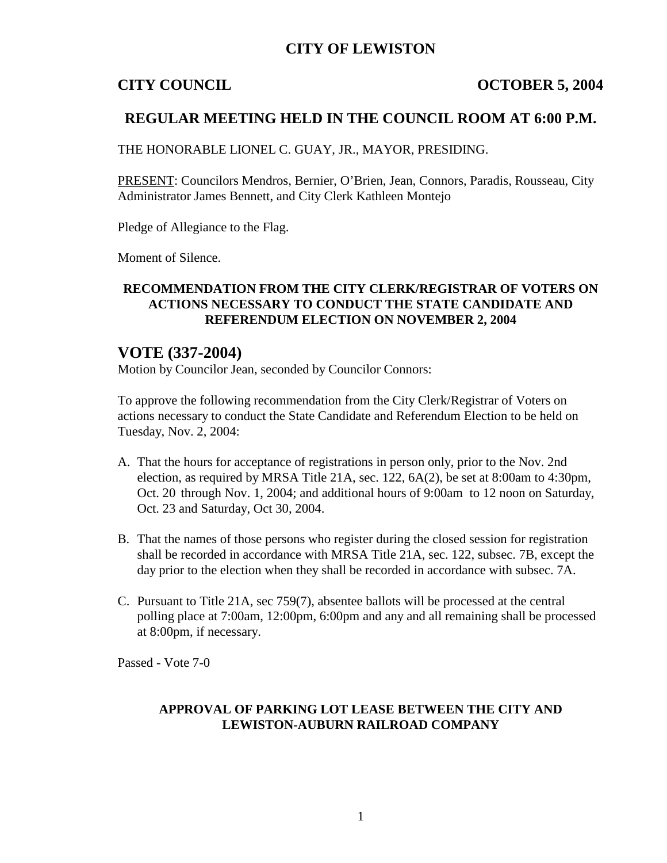## **CITY OF LEWISTON**

### **CITY COUNCIL COUNCIL COUNCIL** COUNCIL

## **REGULAR MEETING HELD IN THE COUNCIL ROOM AT 6:00 P.M.**

THE HONORABLE LIONEL C. GUAY, JR., MAYOR, PRESIDING.

PRESENT: Councilors Mendros, Bernier, O'Brien, Jean, Connors, Paradis, Rousseau, City Administrator James Bennett, and City Clerk Kathleen Montejo

Pledge of Allegiance to the Flag.

Moment of Silence.

#### **RECOMMENDATION FROM THE CITY CLERK/REGISTRAR OF VOTERS ON ACTIONS NECESSARY TO CONDUCT THE STATE CANDIDATE AND REFERENDUM ELECTION ON NOVEMBER 2, 2004**

## **VOTE (337-2004)**

Motion by Councilor Jean, seconded by Councilor Connors:

To approve the following recommendation from the City Clerk/Registrar of Voters on actions necessary to conduct the State Candidate and Referendum Election to be held on Tuesday, Nov. 2, 2004:

- A. That the hours for acceptance of registrations in person only, prior to the Nov. 2nd election, as required by MRSA Title 21A, sec. 122, 6A(2), be set at 8:00am to 4:30pm, Oct. 20 through Nov. 1, 2004; and additional hours of 9:00am to 12 noon on Saturday, Oct. 23 and Saturday, Oct 30, 2004.
- B. That the names of those persons who register during the closed session for registration shall be recorded in accordance with MRSA Title 21A, sec. 122, subsec. 7B, except the day prior to the election when they shall be recorded in accordance with subsec. 7A.
- C. Pursuant to Title 21A, sec 759(7), absentee ballots will be processed at the central polling place at 7:00am, 12:00pm, 6:00pm and any and all remaining shall be processed at 8:00pm, if necessary.

Passed - Vote 7-0

#### **APPROVAL OF PARKING LOT LEASE BETWEEN THE CITY AND LEWISTON-AUBURN RAILROAD COMPANY**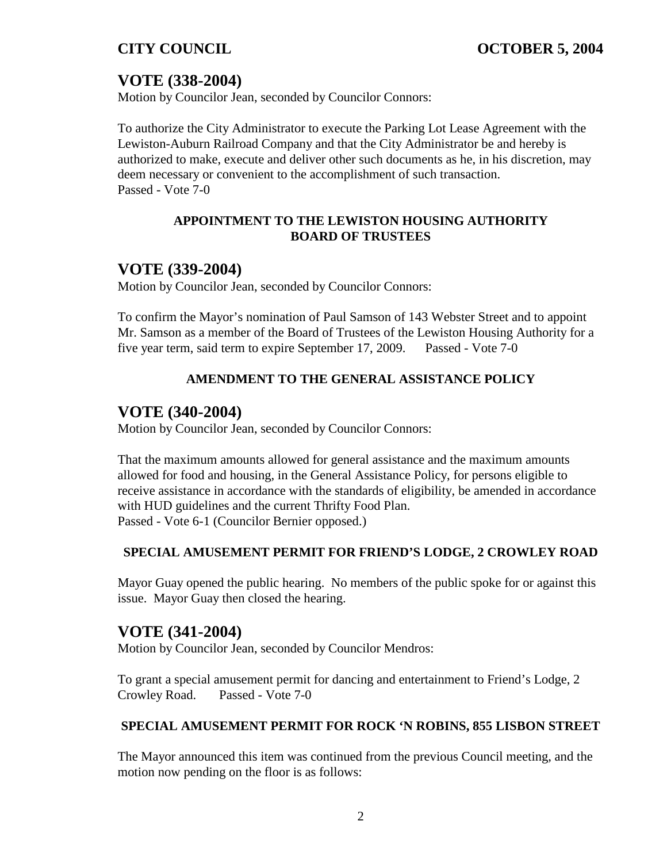# **VOTE (338-2004)**

Motion by Councilor Jean, seconded by Councilor Connors:

To authorize the City Administrator to execute the Parking Lot Lease Agreement with the Lewiston-Auburn Railroad Company and that the City Administrator be and hereby is authorized to make, execute and deliver other such documents as he, in his discretion, may deem necessary or convenient to the accomplishment of such transaction. Passed - Vote 7-0

### **APPOINTMENT TO THE LEWISTON HOUSING AUTHORITY BOARD OF TRUSTEES**

## **VOTE (339-2004)**

Motion by Councilor Jean, seconded by Councilor Connors:

To confirm the Mayor's nomination of Paul Samson of 143 Webster Street and to appoint Mr. Samson as a member of the Board of Trustees of the Lewiston Housing Authority for a five year term, said term to expire September 17, 2009. Passed - Vote 7-0

## **AMENDMENT TO THE GENERAL ASSISTANCE POLICY**

## **VOTE (340-2004)**

Motion by Councilor Jean, seconded by Councilor Connors:

That the maximum amounts allowed for general assistance and the maximum amounts allowed for food and housing, in the General Assistance Policy, for persons eligible to receive assistance in accordance with the standards of eligibility, be amended in accordance with HUD guidelines and the current Thrifty Food Plan. Passed - Vote 6-1 (Councilor Bernier opposed.)

## **SPECIAL AMUSEMENT PERMIT FOR FRIEND'S LODGE, 2 CROWLEY ROAD**

Mayor Guay opened the public hearing. No members of the public spoke for or against this issue. Mayor Guay then closed the hearing.

## **VOTE (341-2004)**

Motion by Councilor Jean, seconded by Councilor Mendros:

To grant a special amusement permit for dancing and entertainment to Friend's Lodge, 2 Crowley Road. Passed - Vote 7-0

#### **SPECIAL AMUSEMENT PERMIT FOR ROCK 'N ROBINS, 855 LISBON STREET**

The Mayor announced this item was continued from the previous Council meeting, and the motion now pending on the floor is as follows: